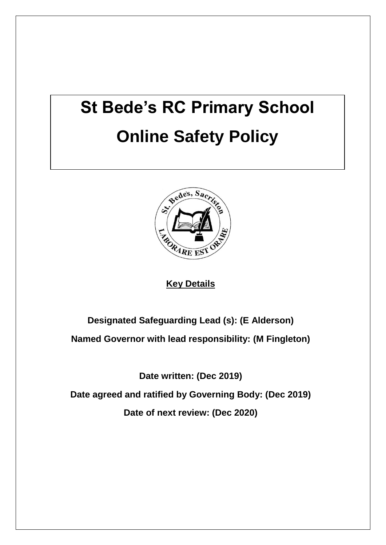# **St Bede's RC Primary School Online Safety Policy**



**Key Details**

**Designated Safeguarding Lead (s): (E Alderson)**

**Named Governor with lead responsibility: (M Fingleton)**

**Date written: (Dec 2019)**

**Date agreed and ratified by Governing Body: (Dec 2019)**

**Date of next review: (Dec 2020)**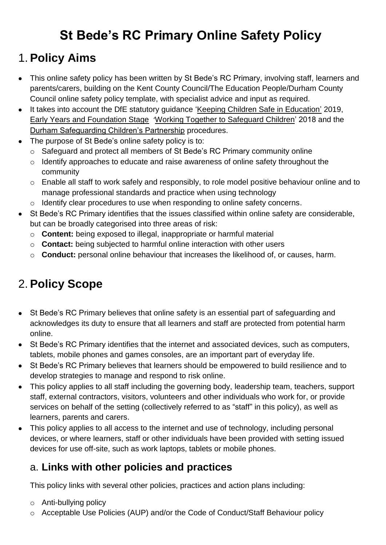# **St Bede's RC Primary Online Safety Policy**

### 1. **Policy Aims**

- This online safety policy has been written by St Bede's RC Primary, involving staff, learners and parents/carers, building on the Kent County Council/The Education People/Durham County Council online safety policy template, with specialist advice and input as required.
- It takes into account the DfE statutory guidance ['Keeping Children Safe in Education'](https://www.gov.uk/government/publications/keeping-children-safe-in-education--2) 2019, [Early Years and Foundation Stage](https://www.gov.uk/government/publications/early-years-foundation-stage-framework--2) '[Working Together to Safeguard Children'](https://www.gov.uk/government/publications/working-together-to-safeguard-children--2) 2018 and the [Durham Safeguarding Children's Partnership](http://www.durham-scp.org.uk/whats-new/) procedures.
- The purpose of St Bede's online safety policy is to:
	- o Safeguard and protect all members of St Bede's RC Primary community online
	- o Identify approaches to educate and raise awareness of online safety throughout the community
	- o Enable all staff to work safely and responsibly, to role model positive behaviour online and to manage professional standards and practice when using technology
	- o Identify clear procedures to use when responding to online safety concerns.
- St Bede's RC Primary identifies that the issues classified within online safety are considerable, but can be broadly categorised into three areas of risk:
	- o **Content:** being exposed to illegal, inappropriate or harmful material
	- o **Contact:** being subjected to harmful online interaction with other users
	- o **Conduct:** personal online behaviour that increases the likelihood of, or causes, harm.

# 2. **Policy Scope**

- St Bede's RC Primary believes that online safety is an essential part of safeguarding and acknowledges its duty to ensure that all learners and staff are protected from potential harm online.
- St Bede's RC Primary identifies that the internet and associated devices, such as computers, tablets, mobile phones and games consoles, are an important part of everyday life.
- St Bede's RC Primary believes that learners should be empowered to build resilience and to develop strategies to manage and respond to risk online.
- This policy applies to all staff including the governing body, leadership team, teachers, support staff, external contractors, visitors, volunteers and other individuals who work for, or provide services on behalf of the setting (collectively referred to as "staff" in this policy), as well as learners, parents and carers.
- This policy applies to all access to the internet and use of technology, including personal devices, or where learners, staff or other individuals have been provided with setting issued devices for use off-site, such as work laptops, tablets or mobile phones.

#### a. **Links with other policies and practices**

This policy links with several other policies, practices and action plans including:

- o Anti-bullying policy
- o Acceptable Use Policies (AUP) and/or the Code of Conduct/Staff Behaviour policy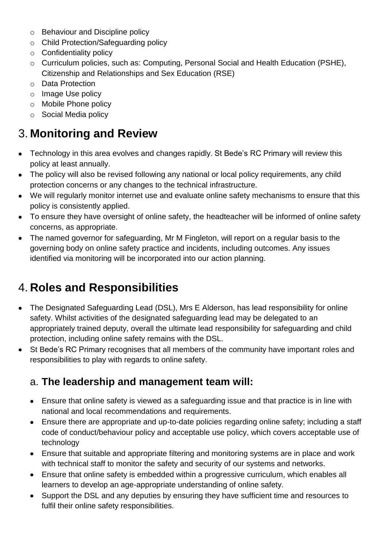- o Behaviour and Discipline policy
- o Child Protection/Safeguarding policy
- $\circ$  Confidentiality policy
- o Curriculum policies, such as: Computing, Personal Social and Health Education (PSHE), Citizenship and Relationships and Sex Education (RSE)
- o Data Protection
- o Image Use policy
- o Mobile Phone policy
- o Social Media policy

# 3. **Monitoring and Review**

- Technology in this area evolves and changes rapidly. St Bede's RC Primary will review this policy at least annually.
- The policy will also be revised following any national or local policy requirements, any child protection concerns or any changes to the technical infrastructure.
- We will regularly monitor internet use and evaluate online safety mechanisms to ensure that this policy is consistently applied.
- To ensure they have oversight of online safety, the headteacher will be informed of online safety concerns, as appropriate.
- The named governor for safeguarding, Mr M Fingleton, will report on a regular basis to the governing body on online safety practice and incidents, including outcomes. Any issues identified via monitoring will be incorporated into our action planning.

# 4. **Roles and Responsibilities**

- The Designated Safeguarding Lead (DSL), Mrs E Alderson, has lead responsibility for online safety. Whilst activities of the designated safeguarding lead may be delegated to an appropriately trained deputy, overall the ultimate lead responsibility for safeguarding and child protection, including online safety remains with the DSL.
- St Bede's RC Primary recognises that all members of the community have important roles and responsibilities to play with regards to online safety.

### a. **The leadership and management team will:**

- Ensure that online safety is viewed as a safeguarding issue and that practice is in line with national and local recommendations and requirements.
- Ensure there are appropriate and up-to-date policies regarding online safety; including a staff code of conduct/behaviour policy and acceptable use policy, which covers acceptable use of technology
- Ensure that suitable and appropriate filtering and monitoring systems are in place and work with technical staff to monitor the safety and security of our systems and networks.
- Ensure that online safety is embedded within a progressive curriculum, which enables all learners to develop an age-appropriate understanding of online safety.
- Support the DSL and any deputies by ensuring they have sufficient time and resources to fulfil their online safety responsibilities.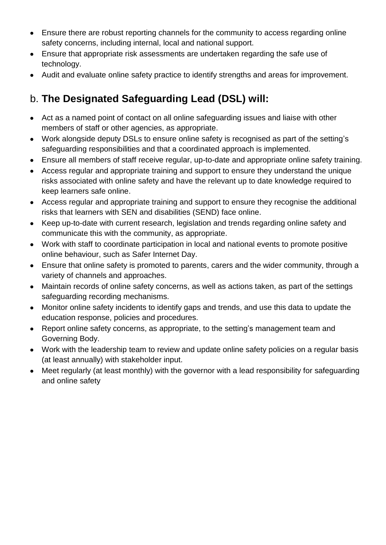- Ensure there are robust reporting channels for the community to access regarding online safety concerns, including internal, local and national support.
- Ensure that appropriate risk assessments are undertaken regarding the safe use of technology.
- Audit and evaluate online safety practice to identify strengths and areas for improvement.

### b. **The Designated Safeguarding Lead (DSL) will:**

- Act as a named point of contact on all online safeguarding issues and liaise with other members of staff or other agencies, as appropriate.
- Work alongside deputy DSLs to ensure online safety is recognised as part of the setting's safeguarding responsibilities and that a coordinated approach is implemented.
- Ensure all members of staff receive regular, up-to-date and appropriate online safety training.
- Access regular and appropriate training and support to ensure they understand the unique risks associated with online safety and have the relevant up to date knowledge required to keep learners safe online.
- Access regular and appropriate training and support to ensure they recognise the additional risks that learners with SEN and disabilities (SEND) face online.
- Keep up-to-date with current research, legislation and trends regarding online safety and communicate this with the community, as appropriate.
- Work with staff to coordinate participation in local and national events to promote positive online behaviour, such as Safer Internet Day.
- Ensure that online safety is promoted to parents, carers and the wider community, through a variety of channels and approaches.
- Maintain records of online safety concerns, as well as actions taken, as part of the settings safeguarding recording mechanisms.
- Monitor online safety incidents to identify gaps and trends, and use this data to update the education response, policies and procedures.
- Report online safety concerns, as appropriate, to the setting's management team and Governing Body.
- Work with the leadership team to review and update online safety policies on a regular basis (at least annually) with stakeholder input.
- Meet regularly (at least monthly) with the governor with a lead responsibility for safeguarding and online safety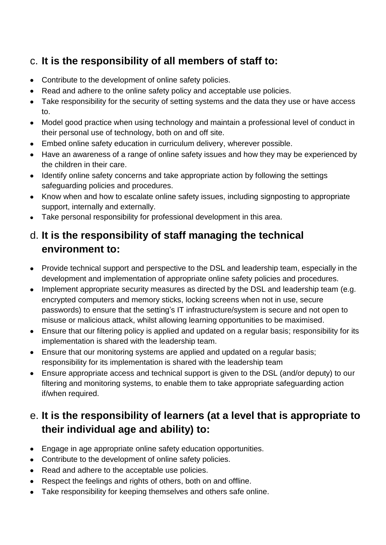### c. **It is the responsibility of all members of staff to:**

- Contribute to the development of online safety policies.
- Read and adhere to the online safety policy and acceptable use policies.
- Take responsibility for the security of setting systems and the data they use or have access to.
- Model good practice when using technology and maintain a professional level of conduct in their personal use of technology, both on and off site.
- Embed online safety education in curriculum delivery, wherever possible.
- Have an awareness of a range of online safety issues and how they may be experienced by the children in their care.
- Identify online safety concerns and take appropriate action by following the settings safeguarding policies and procedures.
- Know when and how to escalate online safety issues, including signposting to appropriate support, internally and externally.
- Take personal responsibility for professional development in this area.

### d. **It is the responsibility of staff managing the technical environment to:**

- Provide technical support and perspective to the DSL and leadership team, especially in the development and implementation of appropriate online safety policies and procedures.
- Implement appropriate security measures as directed by the DSL and leadership team (e.g. encrypted computers and memory sticks, locking screens when not in use, secure passwords) to ensure that the setting's IT infrastructure/system is secure and not open to misuse or malicious attack, whilst allowing learning opportunities to be maximised.
- Ensure that our filtering policy is applied and updated on a regular basis; responsibility for its implementation is shared with the leadership team.
- Ensure that our monitoring systems are applied and updated on a regular basis; responsibility for its implementation is shared with the leadership team
- Ensure appropriate access and technical support is given to the DSL (and/or deputy) to our filtering and monitoring systems, to enable them to take appropriate safeguarding action if/when required.

### e. **It is the responsibility of learners (at a level that is appropriate to their individual age and ability) to:**

- Engage in age appropriate online safety education opportunities.
- Contribute to the development of online safety policies.
- Read and adhere to the acceptable use policies.
- Respect the feelings and rights of others, both on and offline.
- Take responsibility for keeping themselves and others safe online.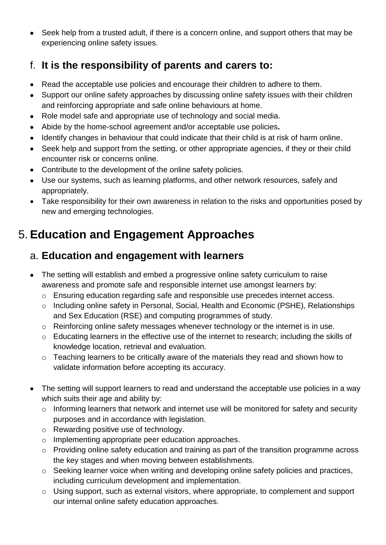• Seek help from a trusted adult, if there is a concern online, and support others that may be experiencing online safety issues.

### f. **It is the responsibility of parents and carers to:**

- Read the acceptable use policies and encourage their children to adhere to them.
- Support our online safety approaches by discussing online safety issues with their children and reinforcing appropriate and safe online behaviours at home.
- Role model safe and appropriate use of technology and social media.
- Abide by the home-school agreement and/or acceptable use policies**.**
- Identify changes in behaviour that could indicate that their child is at risk of harm online.
- Seek help and support from the setting, or other appropriate agencies, if they or their child encounter risk or concerns online.
- Contribute to the development of the online safety policies.
- Use our systems, such as learning platforms, and other network resources, safely and appropriately.
- Take responsibility for their own awareness in relation to the risks and opportunities posed by new and emerging technologies.

# 5. **Education and Engagement Approaches**

#### a. **Education and engagement with learners**

- The setting will establish and embed a progressive online safety curriculum to raise awareness and promote safe and responsible internet use amongst learners by:
	- o Ensuring education regarding safe and responsible use precedes internet access.
	- o Including online safety in Personal, Social, Health and Economic (PSHE), Relationships and Sex Education (RSE) and computing programmes of study.
	- o Reinforcing online safety messages whenever technology or the internet is in use.
	- o Educating learners in the effective use of the internet to research; including the skills of knowledge location, retrieval and evaluation.
	- o Teaching learners to be critically aware of the materials they read and shown how to validate information before accepting its accuracy.
- The setting will support learners to read and understand the acceptable use policies in a way which suits their age and ability by:
	- o Informing learners that network and internet use will be monitored for safety and security purposes and in accordance with legislation.
	- o Rewarding positive use of technology.
	- o Implementing appropriate peer education approaches.
	- o Providing online safety education and training as part of the transition programme across the key stages and when moving between establishments.
	- o Seeking learner voice when writing and developing online safety policies and practices, including curriculum development and implementation.
	- o Using support, such as external visitors, where appropriate, to complement and support our internal online safety education approaches.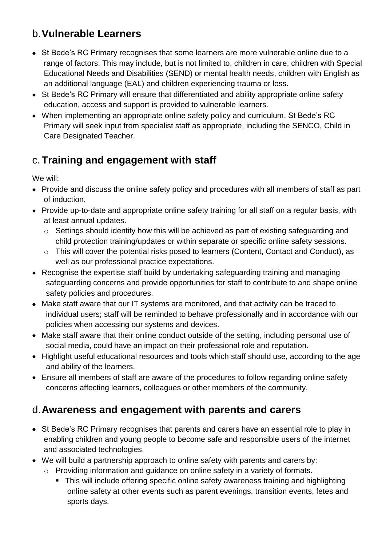### b.**Vulnerable Learners**

- St Bede's RC Primary recognises that some learners are more vulnerable online due to a range of factors. This may include, but is not limited to, children in care, children with Special Educational Needs and Disabilities (SEND) or mental health needs, children with English as an additional language (EAL) and children experiencing trauma or loss.
- St Bede's RC Primary will ensure that differentiated and ability appropriate online safety education, access and support is provided to vulnerable learners.
- When implementing an appropriate online safety policy and curriculum, St Bede's RC Primary will seek input from specialist staff as appropriate, including the SENCO, Child in Care Designated Teacher.

### c.**Training and engagement with staff**

We will:

- Provide and discuss the online safety policy and procedures with all members of staff as part of induction.
- Provide up-to-date and appropriate online safety training for all staff on a regular basis, with at least annual updates.
	- o Settings should identify how this will be achieved as part of existing safeguarding and child protection training/updates or within separate or specific online safety sessions.
	- o This will cover the potential risks posed to learners (Content, Contact and Conduct), as well as our professional practice expectations.
- Recognise the expertise staff build by undertaking safeguarding training and managing safeguarding concerns and provide opportunities for staff to contribute to and shape online safety policies and procedures.
- Make staff aware that our IT systems are monitored, and that activity can be traced to individual users; staff will be reminded to behave professionally and in accordance with our policies when accessing our systems and devices.
- Make staff aware that their online conduct outside of the setting, including personal use of social media, could have an impact on their professional role and reputation.
- Highlight useful educational resources and tools which staff should use, according to the age and ability of the learners.
- Ensure all members of staff are aware of the procedures to follow regarding online safety concerns affecting learners, colleagues or other members of the community.

### d.**Awareness and engagement with parents and carers**

- St Bede's RC Primary recognises that parents and carers have an essential role to play in enabling children and young people to become safe and responsible users of the internet and associated technologies.
- We will build a partnership approach to online safety with parents and carers by:
	- o Providing information and guidance on online safety in a variety of formats.
		- **This will include offering specific online safety awareness training and highlighting** online safety at other events such as parent evenings, transition events, fetes and sports days.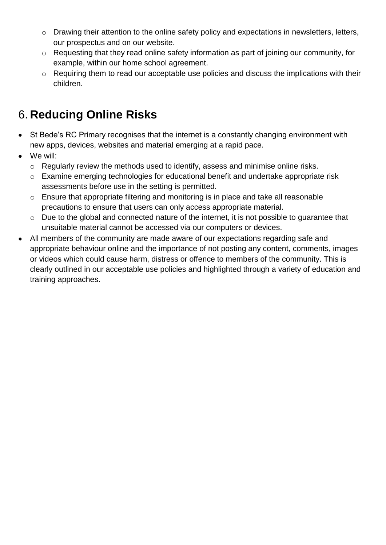- o Drawing their attention to the online safety policy and expectations in newsletters, letters, our prospectus and on our website.
- o Requesting that they read online safety information as part of joining our community, for example, within our home school agreement.
- o Requiring them to read our acceptable use policies and discuss the implications with their children.

# 6. **Reducing Online Risks**

- St Bede's RC Primary recognises that the internet is a constantly changing environment with new apps, devices, websites and material emerging at a rapid pace.
- We will:
	- o Regularly review the methods used to identify, assess and minimise online risks.
	- o Examine emerging technologies for educational benefit and undertake appropriate risk assessments before use in the setting is permitted.
	- o Ensure that appropriate filtering and monitoring is in place and take all reasonable precautions to ensure that users can only access appropriate material.
	- o Due to the global and connected nature of the internet, it is not possible to guarantee that unsuitable material cannot be accessed via our computers or devices.
- All members of the community are made aware of our expectations regarding safe and appropriate behaviour online and the importance of not posting any content, comments, images or videos which could cause harm, distress or offence to members of the community. This is clearly outlined in our acceptable use policies and highlighted through a variety of education and training approaches.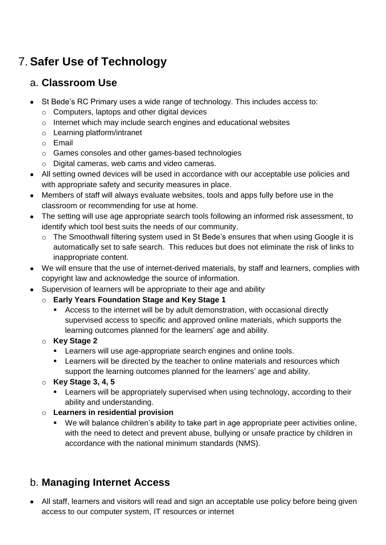# 7. **Safer Use of Technology**

### a. **Classroom Use**

- St Bede's RC Primary uses a wide range of technology. This includes access to:
	- o Computers, laptops and other digital devices
	- o Internet which may include search engines and educational websites
	- o Learning platform/intranet
	- o Email
	- o Games consoles and other games-based technologies
	- o Digital cameras, web cams and video cameras.
- All setting owned devices will be used in accordance with our acceptable use policies and with appropriate safety and security measures in place.
- Members of staff will always evaluate websites, tools and apps fully before use in the classroom or recommending for use at home.
- The setting will use age appropriate search tools following an informed risk assessment, to identify which tool best suits the needs of our community.
	- o The Smoothwall filtering system used in St Bede's ensures that when using Google it is automatically set to safe search. This reduces but does not eliminate the risk of links to inappropriate content.
- We will ensure that the use of internet-derived materials, by staff and learners, complies with copyright law and acknowledge the source of information.
- Supervision of learners will be appropriate to their age and ability
	- o **Early Years Foundation Stage and Key Stage 1**
		- Access to the internet will be by adult demonstration, with occasional directly supervised access to specific and approved online materials, which supports the learning outcomes planned for the learners' age and ability.
	- o **Key Stage 2** 
		- **EXECT** Learners will use age-appropriate search engines and online tools.
		- **EXECTED FIGHTS WAS EXECTED FIGHTS IN THE VIGHTS IN A LEAT THE UP THE UP THE UP THE UP THE UP THE UP THE UP THE UP THE UP THE UP THE UP THE UP THE UP THE UP THE UP THE UP THE UP THE UP THE UP THE UP THE UP THE UP THE UP TH** support the learning outcomes planned for the learners' age and ability.
	- o **Key Stage 3, 4, 5**
		- **EXECT** Learners will be appropriately supervised when using technology, according to their ability and understanding.

#### o **Learners in residential provision**

■ We will balance children's ability to take part in age appropriate peer activities online, with the need to detect and prevent abuse, bullying or unsafe practice by children in accordance with the national minimum standards (NMS).

### b. **Managing Internet Access**

• All staff, learners and visitors will read and sign an acceptable use policy before being given access to our computer system, IT resources or internet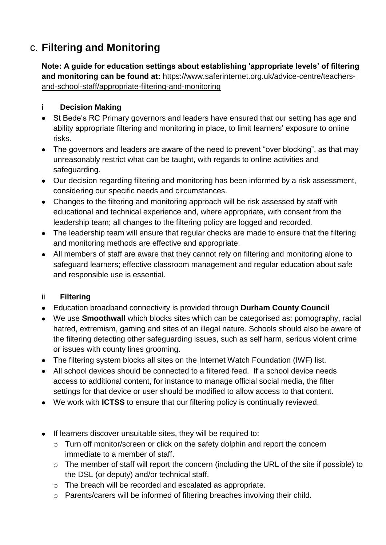### c. **Filtering and Monitoring**

**Note: A guide for education settings about establishing 'appropriate levels' of filtering and monitoring can be found at:** [https://www.saferinternet.org.uk/advice-centre/teachers](https://www.saferinternet.org.uk/advice-centre/teachers-and-school-staff/appropriate-filtering-and-monitoring)[and-school-staff/appropriate-filtering-and-monitoring](https://www.saferinternet.org.uk/advice-centre/teachers-and-school-staff/appropriate-filtering-and-monitoring)

#### i **Decision Making**

- St Bede's RC Primary governors and leaders have ensured that our setting has age and ability appropriate filtering and monitoring in place, to limit learners' exposure to online risks.
- The governors and leaders are aware of the need to prevent "over blocking", as that may unreasonably restrict what can be taught, with regards to online activities and safeguarding.
- Our decision regarding filtering and monitoring has been informed by a risk assessment, considering our specific needs and circumstances.
- Changes to the filtering and monitoring approach will be risk assessed by staff with educational and technical experience and, where appropriate, with consent from the leadership team; all changes to the filtering policy are logged and recorded.
- The leadership team will ensure that regular checks are made to ensure that the filtering and monitoring methods are effective and appropriate.
- All members of staff are aware that they cannot rely on filtering and monitoring alone to safeguard learners; effective classroom management and regular education about safe and responsible use is essential.

#### ii **Filtering**

- Education broadband connectivity is provided through **Durham County Council**
- We use **Smoothwall** which blocks sites which can be categorised as: pornography, racial hatred, extremism, gaming and sites of an illegal nature. Schools should also be aware of the filtering detecting other safeguarding issues, such as self harm, serious violent crime or issues with county lines grooming.
- The filtering system blocks all sites on the [Internet Watch Foundation](https://www.iwf.org.uk/) (IWF) list.
- All school devices should be connected to a filtered feed. If a school device needs access to additional content, for instance to manage official social media, the filter settings for that device or user should be modified to allow access to that content.
- We work with **ICTSS** to ensure that our filtering policy is continually reviewed.
- If learners discover unsuitable sites, they will be required to:
	- o Turn off monitor/screen or click on the safety dolphin and report the concern immediate to a member of staff.
	- o The member of staff will report the concern (including the URL of the site if possible) to the DSL (or deputy) and/or technical staff.
	- o The breach will be recorded and escalated as appropriate.
	- o Parents/carers will be informed of filtering breaches involving their child.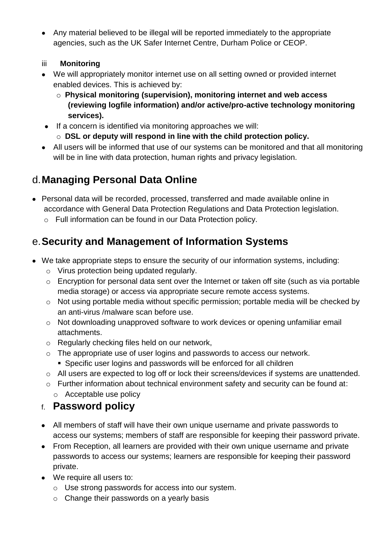- Any material believed to be illegal will be reported immediately to the appropriate agencies, such as the UK Safer Internet Centre, Durham Police or CEOP.
- iii **Monitoring**
- We will appropriately monitor internet use on all setting owned or provided internet enabled devices. This is achieved by:
	- o **Physical monitoring (supervision), monitoring internet and web access (reviewing logfile information) and/or active/pro-active technology monitoring services).**
- If a concern is identified via monitoring approaches we will:
	- o **DSL or deputy will respond in line with the child protection policy.**
- All users will be informed that use of our systems can be monitored and that all monitoring will be in line with data protection, human rights and privacy legislation.

# d.**Managing Personal Data Online**

- Personal data will be recorded, processed, transferred and made available online in accordance with General Data Protection Regulations and Data Protection legislation.
	- o Full information can be found in our Data Protection policy.

### e.**Security and Management of Information Systems**

- We take appropriate steps to ensure the security of our information systems, including:
	- o Virus protection being updated regularly.
	- o Encryption for personal data sent over the Internet or taken off site (such as via portable media storage) or access via appropriate secure remote access systems.
	- o Not using portable media without specific permission; portable media will be checked by an anti-virus /malware scan before use.
	- o Not downloading unapproved software to work devices or opening unfamiliar email attachments.
	- o Regularly checking files held on our network,
	- o The appropriate use of user logins and passwords to access our network. ■ Specific user logins and passwords will be enforced for all children
	- o All users are expected to log off or lock their screens/devices if systems are unattended.
	- o Further information about technical environment safety and security can be found at:
		- o Acceptable use policy

### f. **Password policy**

- All members of staff will have their own unique username and private passwords to access our systems; members of staff are responsible for keeping their password private.
- From Reception, all learners are provided with their own unique username and private passwords to access our systems; learners are responsible for keeping their password private.
- We require all users to:
	- o Use strong passwords for access into our system.
	- o Change their passwords on a yearly basis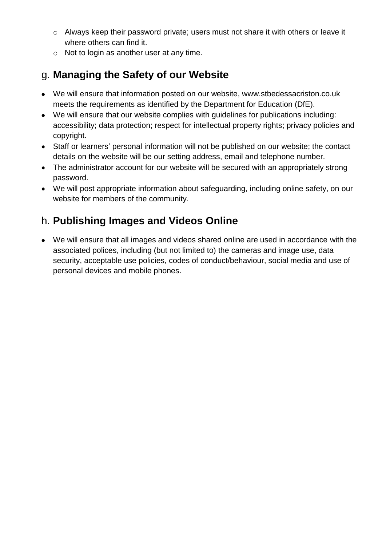- o Always keep their password private; users must not share it with others or leave it where others can find it.
- o Not to login as another user at any time.

### g. **Managing the Safety of our Website**

- We will ensure that information posted on our website, www.stbedessacriston.co.uk meets the requirements as identified by the Department for Education (DfE).
- We will ensure that our website complies with guidelines for publications including: accessibility; data protection; respect for intellectual property rights; privacy policies and copyright.
- Staff or learners' personal information will not be published on our website; the contact details on the website will be our setting address, email and telephone number.
- The administrator account for our website will be secured with an appropriately strong password.
- We will post appropriate information about safeguarding, including online safety, on our website for members of the community.

### h. **Publishing Images and Videos Online**

• We will ensure that all images and videos shared online are used in accordance with the associated polices, including (but not limited to) the cameras and image use, data security, acceptable use policies, codes of conduct/behaviour, social media and use of personal devices and mobile phones.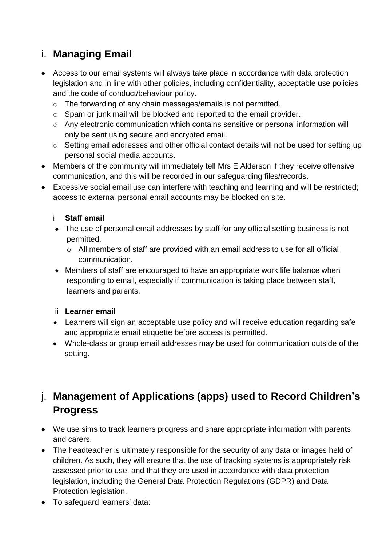### i. **Managing Email**

- Access to our email systems will always take place in accordance with data protection legislation and in line with other policies, including confidentiality, acceptable use policies and the code of conduct/behaviour policy.
	- o The forwarding of any chain messages/emails is not permitted.
	- o Spam or junk mail will be blocked and reported to the email provider.
	- o Any electronic communication which contains sensitive or personal information will only be sent using secure and encrypted email.
	- o Setting email addresses and other official contact details will not be used for setting up personal social media accounts.
- Members of the community will immediately tell Mrs E Alderson if they receive offensive communication, and this will be recorded in our safeguarding files/records.
- Excessive social email use can interfere with teaching and learning and will be restricted; access to external personal email accounts may be blocked on site.

#### i **Staff email**

- The use of personal email addresses by staff for any official setting business is not permitted.
	- o All members of staff are provided with an email address to use for all official communication.
- Members of staff are encouraged to have an appropriate work life balance when responding to email, especially if communication is taking place between staff, learners and parents.

#### ii **Learner email**

- Learners will sign an acceptable use policy and will receive education regarding safe and appropriate email etiquette before access is permitted.
- Whole-class or group email addresses may be used for communication outside of the setting.

### j. **Management of Applications (apps) used to Record Children's Progress**

- We use sims to track learners progress and share appropriate information with parents and carers.
- The headteacher is ultimately responsible for the security of any data or images held of children. As such, they will ensure that the use of tracking systems is appropriately risk assessed prior to use, and that they are used in accordance with data protection legislation, including the General Data Protection Regulations (GDPR) and Data Protection legislation.
- To safeguard learners' data: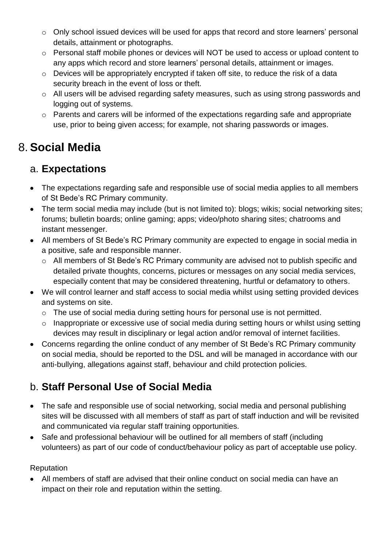- o Only school issued devices will be used for apps that record and store learners' personal details, attainment or photographs.
- o Personal staff mobile phones or devices will NOT be used to access or upload content to any apps which record and store learners' personal details, attainment or images.
- o Devices will be appropriately encrypted if taken off site, to reduce the risk of a data security breach in the event of loss or theft.
- o All users will be advised regarding safety measures, such as using strong passwords and logging out of systems.
- o Parents and carers will be informed of the expectations regarding safe and appropriate use, prior to being given access; for example, not sharing passwords or images.

### 8. **Social Media**

### a. **Expectations**

- The expectations regarding safe and responsible use of social media applies to all members of St Bede's RC Primary community.
- The term social media may include (but is not limited to): blogs; wikis; social networking sites; forums; bulletin boards; online gaming; apps; video/photo sharing sites; chatrooms and instant messenger.
- All members of St Bede's RC Primary community are expected to engage in social media in a positive, safe and responsible manner.
	- o All members of St Bede's RC Primary community are advised not to publish specific and detailed private thoughts, concerns, pictures or messages on any social media services, especially content that may be considered threatening, hurtful or defamatory to others.
- We will control learner and staff access to social media whilst using setting provided devices and systems on site.
	- o The use of social media during setting hours for personal use is not permitted.
	- o Inappropriate or excessive use of social media during setting hours or whilst using setting devices may result in disciplinary or legal action and/or removal of internet facilities.
- Concerns regarding the online conduct of any member of St Bede's RC Primary community on social media, should be reported to the DSL and will be managed in accordance with our anti-bullying, allegations against staff, behaviour and child protection policies.

### b. **Staff Personal Use of Social Media**

- The safe and responsible use of social networking, social media and personal publishing sites will be discussed with all members of staff as part of staff induction and will be revisited and communicated via regular staff training opportunities.
- Safe and professional behaviour will be outlined for all members of staff (including volunteers) as part of our code of conduct/behaviour policy as part of acceptable use policy.

Reputation

• All members of staff are advised that their online conduct on social media can have an impact on their role and reputation within the setting.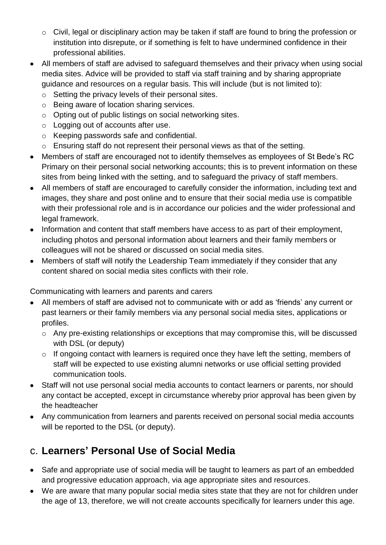- o Civil, legal or disciplinary action may be taken if staff are found to bring the profession or institution into disrepute, or if something is felt to have undermined confidence in their professional abilities.
- All members of staff are advised to safeguard themselves and their privacy when using social media sites. Advice will be provided to staff via staff training and by sharing appropriate guidance and resources on a regular basis. This will include (but is not limited to):
	- o Setting the privacy levels of their personal sites.
	- o Being aware of location sharing services.
	- o Opting out of public listings on social networking sites.
	- o Logging out of accounts after use.
	- o Keeping passwords safe and confidential.
	- o Ensuring staff do not represent their personal views as that of the setting.
- Members of staff are encouraged not to identify themselves as employees of St Bede's RC Primary on their personal social networking accounts; this is to prevent information on these sites from being linked with the setting, and to safeguard the privacy of staff members.
- All members of staff are encouraged to carefully consider the information, including text and images, they share and post online and to ensure that their social media use is compatible with their professional role and is in accordance our policies and the wider professional and legal framework.
- Information and content that staff members have access to as part of their employment, including photos and personal information about learners and their family members or colleagues will not be shared or discussed on social media sites.
- Members of staff will notify the Leadership Team immediately if they consider that any content shared on social media sites conflicts with their role.

Communicating with learners and parents and carers

- All members of staff are advised not to communicate with or add as 'friends' any current or past learners or their family members via any personal social media sites, applications or profiles.
	- o Any pre-existing relationships or exceptions that may compromise this, will be discussed with DSL (or deputy)
	- o If ongoing contact with learners is required once they have left the setting, members of staff will be expected to use existing alumni networks or use official setting provided communication tools.
- Staff will not use personal social media accounts to contact learners or parents, nor should any contact be accepted, except in circumstance whereby prior approval has been given by the headteacher
- Any communication from learners and parents received on personal social media accounts will be reported to the DSL (or deputy).

### c. **Learners' Personal Use of Social Media**

- Safe and appropriate use of social media will be taught to learners as part of an embedded and progressive education approach, via age appropriate sites and resources.
- We are aware that many popular social media sites state that they are not for children under the age of 13, therefore, we will not create accounts specifically for learners under this age.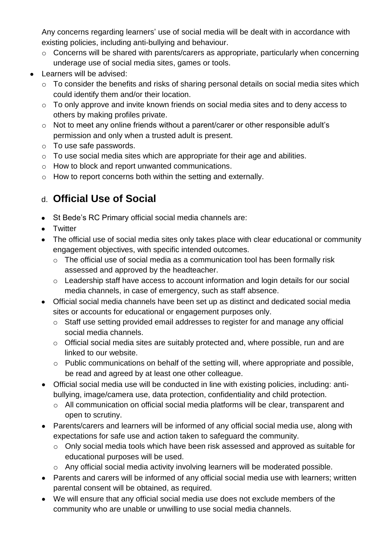Any concerns regarding learners' use of social media will be dealt with in accordance with existing policies, including anti-bullying and behaviour.

- o Concerns will be shared with parents/carers as appropriate, particularly when concerning underage use of social media sites, games or tools.
- Learners will be advised:
	- o To consider the benefits and risks of sharing personal details on social media sites which could identify them and/or their location.
	- o To only approve and invite known friends on social media sites and to deny access to others by making profiles private.
	- o Not to meet any online friends without a parent/carer or other responsible adult's permission and only when a trusted adult is present.
	- o To use safe passwords.
	- o To use social media sites which are appropriate for their age and abilities.
	- o How to block and report unwanted communications.
	- o How to report concerns both within the setting and externally.

### d. **Official Use of Social**

- St Bede's RC Primary official social media channels are:
- Twitter
- The official use of social media sites only takes place with clear educational or community engagement objectives, with specific intended outcomes.
	- o The official use of social media as a communication tool has been formally risk assessed and approved by the headteacher.
	- o Leadership staff have access to account information and login details for our social media channels, in case of emergency, such as staff absence.
- Official social media channels have been set up as distinct and dedicated social media sites or accounts for educational or engagement purposes only.
	- o Staff use setting provided email addresses to register for and manage any official social media channels.
	- o Official social media sites are suitably protected and, where possible, run and are linked to our website.
	- o Public communications on behalf of the setting will, where appropriate and possible, be read and agreed by at least one other colleague.
- Official social media use will be conducted in line with existing policies, including: antibullying, image/camera use, data protection, confidentiality and child protection.
	- o All communication on official social media platforms will be clear, transparent and open to scrutiny.
- Parents/carers and learners will be informed of any official social media use, along with expectations for safe use and action taken to safeguard the community.
	- o Only social media tools which have been risk assessed and approved as suitable for educational purposes will be used.
	- o Any official social media activity involving learners will be moderated possible.
- Parents and carers will be informed of any official social media use with learners; written parental consent will be obtained, as required.
- We will ensure that any official social media use does not exclude members of the community who are unable or unwilling to use social media channels.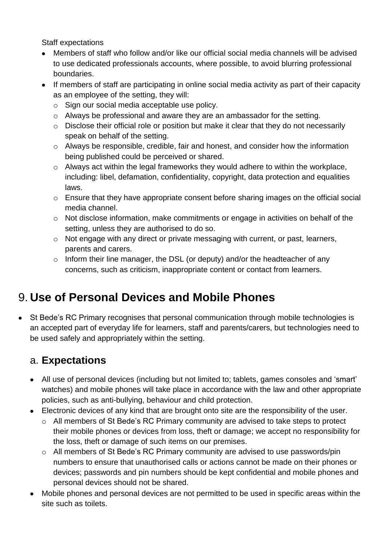Staff expectations

- Members of staff who follow and/or like our official social media channels will be advised to use dedicated professionals accounts, where possible, to avoid blurring professional boundaries.
- If members of staff are participating in online social media activity as part of their capacity as an employee of the setting, they will:
	- o Sign our social media acceptable use policy.
	- o Always be professional and aware they are an ambassador for the setting.
	- o Disclose their official role or position but make it clear that they do not necessarily speak on behalf of the setting.
	- o Always be responsible, credible, fair and honest, and consider how the information being published could be perceived or shared.
	- o Always act within the legal frameworks they would adhere to within the workplace, including: libel, defamation, confidentiality, copyright, data protection and equalities laws.
	- o Ensure that they have appropriate consent before sharing images on the official social media channel.
	- o Not disclose information, make commitments or engage in activities on behalf of the setting, unless they are authorised to do so.
	- o Not engage with any direct or private messaging with current, or past, learners, parents and carers.
	- $\circ$  Inform their line manager, the DSL (or deputy) and/or the headteacher of any concerns, such as criticism, inappropriate content or contact from learners.

# 9. **Use of Personal Devices and Mobile Phones**

• St Bede's RC Primary recognises that personal communication through mobile technologies is an accepted part of everyday life for learners, staff and parents/carers, but technologies need to be used safely and appropriately within the setting.

### a. **Expectations**

- All use of personal devices (including but not limited to; tablets, games consoles and 'smart' watches) and mobile phones will take place in accordance with the law and other appropriate policies, such as anti-bullying, behaviour and child protection.
- Electronic devices of any kind that are brought onto site are the responsibility of the user.
	- o All members of St Bede's RC Primary community are advised to take steps to protect their mobile phones or devices from loss, theft or damage; we accept no responsibility for the loss, theft or damage of such items on our premises.
	- o All members of St Bede's RC Primary community are advised to use passwords/pin numbers to ensure that unauthorised calls or actions cannot be made on their phones or devices; passwords and pin numbers should be kept confidential and mobile phones and personal devices should not be shared.
- Mobile phones and personal devices are not permitted to be used in specific areas within the site such as toilets.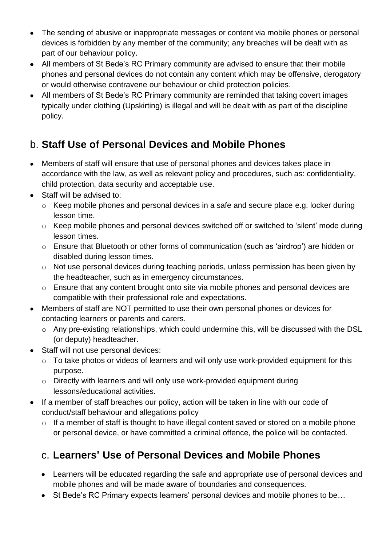- The sending of abusive or inappropriate messages or content via mobile phones or personal devices is forbidden by any member of the community; any breaches will be dealt with as part of our behaviour policy.
- All members of St Bede's RC Primary community are advised to ensure that their mobile phones and personal devices do not contain any content which may be offensive, derogatory or would otherwise contravene our behaviour or child protection policies.
- All members of St Bede's RC Primary community are reminded that taking covert images typically under clothing (Upskirting) is illegal and will be dealt with as part of the discipline policy.

### b. **Staff Use of Personal Devices and Mobile Phones**

- Members of staff will ensure that use of personal phones and devices takes place in accordance with the law, as well as relevant policy and procedures, such as: confidentiality, child protection, data security and acceptable use.
- Staff will be advised to:
	- o Keep mobile phones and personal devices in a safe and secure place e.g. locker during lesson time.
	- o Keep mobile phones and personal devices switched off or switched to 'silent' mode during lesson times.
	- o Ensure that Bluetooth or other forms of communication (such as 'airdrop') are hidden or disabled during lesson times.
	- o Not use personal devices during teaching periods, unless permission has been given by the headteacher, such as in emergency circumstances.
	- o Ensure that any content brought onto site via mobile phones and personal devices are compatible with their professional role and expectations.
- Members of staff are NOT permitted to use their own personal phones or devices for contacting learners or parents and carers.
	- o Any pre-existing relationships, which could undermine this, will be discussed with the DSL (or deputy) headteacher.
- Staff will not use personal devices:
	- o To take photos or videos of learners and will only use work-provided equipment for this purpose.
	- o Directly with learners and will only use work-provided equipment during lessons/educational activities.
- If a member of staff breaches our policy, action will be taken in line with our code of conduct/staff behaviour and allegations policy
	- o If a member of staff is thought to have illegal content saved or stored on a mobile phone or personal device, or have committed a criminal offence, the police will be contacted.

### c. **Learners' Use of Personal Devices and Mobile Phones**

- Learners will be educated regarding the safe and appropriate use of personal devices and mobile phones and will be made aware of boundaries and consequences.
- St Bede's RC Primary expects learners' personal devices and mobile phones to be...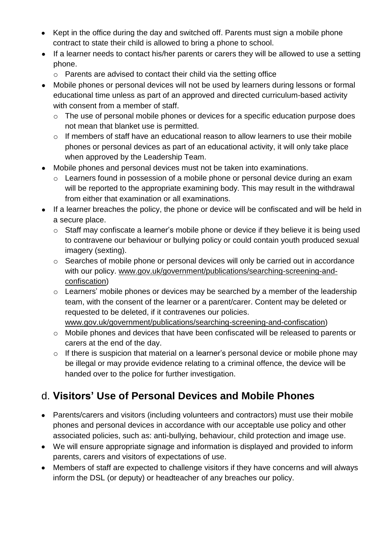- Kept in the office during the day and switched off. Parents must sign a mobile phone contract to state their child is allowed to bring a phone to school.
- If a learner needs to contact his/her parents or carers they will be allowed to use a setting phone.
	- o Parents are advised to contact their child via the setting office
- Mobile phones or personal devices will not be used by learners during lessons or formal educational time unless as part of an approved and directed curriculum-based activity with consent from a member of staff.
	- o The use of personal mobile phones or devices for a specific education purpose does not mean that blanket use is permitted.
	- o If members of staff have an educational reason to allow learners to use their mobile phones or personal devices as part of an educational activity, it will only take place when approved by the Leadership Team.
- Mobile phones and personal devices must not be taken into examinations.
	- o Learners found in possession of a mobile phone or personal device during an exam will be reported to the appropriate examining body. This may result in the withdrawal from either that examination or all examinations.
- If a learner breaches the policy, the phone or device will be confiscated and will be held in a secure place.
	- o Staff may confiscate a learner's mobile phone or device if they believe it is being used to contravene our behaviour or bullying policy or could contain youth produced sexual imagery (sexting).
	- o Searches of mobile phone or personal devices will only be carried out in accordance with our policy. [www.gov.uk/government/publications/searching-screening-and](http://www.gov.uk/government/publications/searching-screening-and-confiscation)[confiscation\)](http://www.gov.uk/government/publications/searching-screening-and-confiscation)
	- o Learners' mobile phones or devices may be searched by a member of the leadership team, with the consent of the learner or a parent/carer. Content may be deleted or requested to be deleted, if it contravenes our policies. [www.gov.uk/government/publications/searching-screening-and-confiscation\)](http://www.gov.uk/government/publications/searching-screening-and-confiscation)
	- o Mobile phones and devices that have been confiscated will be released to parents or carers at the end of the day.
	- o If there is suspicion that material on a learner's personal device or mobile phone may be illegal or may provide evidence relating to a criminal offence, the device will be handed over to the police for further investigation.

### d. **Visitors' Use of Personal Devices and Mobile Phones**

- Parents/carers and visitors (including volunteers and contractors) must use their mobile phones and personal devices in accordance with our acceptable use policy and other associated policies, such as: anti-bullying, behaviour, child protection and image use.
- We will ensure appropriate signage and information is displayed and provided to inform parents, carers and visitors of expectations of use.
- Members of staff are expected to challenge visitors if they have concerns and will always inform the DSL (or deputy) or headteacher of any breaches our policy.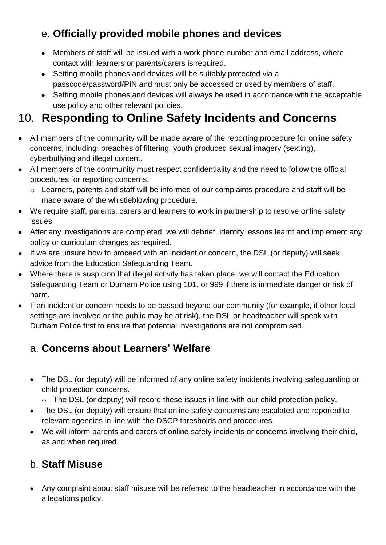### e. **Officially provided mobile phones and devices**

- Members of staff will be issued with a work phone number and email address, where contact with learners or parents/carers is required.
- Setting mobile phones and devices will be suitably protected via a passcode/password/PIN and must only be accessed or used by members of staff.
- Setting mobile phones and devices will always be used in accordance with the acceptable use policy and other relevant policies.

# 10. **Responding to Online Safety Incidents and Concerns**

- All members of the community will be made aware of the reporting procedure for online safety concerns, including: breaches of filtering, youth produced sexual imagery (sexting), cyberbullying and illegal content.
- All members of the community must respect confidentiality and the need to follow the official procedures for reporting concerns.
	- o Learners, parents and staff will be informed of our complaints procedure and staff will be made aware of the whistleblowing procedure.
- We require staff, parents, carers and learners to work in partnership to resolve online safety issues.
- After any investigations are completed, we will debrief, identify lessons learnt and implement any policy or curriculum changes as required.
- If we are unsure how to proceed with an incident or concern, the DSL (or deputy) will seek advice from the Education Safeguarding Team.
- Where there is suspicion that illegal activity has taken place, we will contact the Education Safeguarding Team or Durham Police using 101, or 999 if there is immediate danger or risk of harm.
- If an incident or concern needs to be passed beyond our community (for example, if other local settings are involved or the public may be at risk), the DSL or headteacher will speak with Durham Police first to ensure that potential investigations are not compromised.

### a. **Concerns about Learners' Welfare**

- The DSL (or deputy) will be informed of any online safety incidents involving safeguarding or child protection concerns.
	- o The DSL (or deputy) will record these issues in line with our child protection policy.
- The DSL (or deputy) will ensure that online safety concerns are escalated and reported to relevant agencies in line with the DSCP thresholds and procedures.
- We will inform parents and carers of online safety incidents or concerns involving their child, as and when required.

### b. **Staff Misuse**

• Any complaint about staff misuse will be referred to the headteacher in accordance with the allegations policy.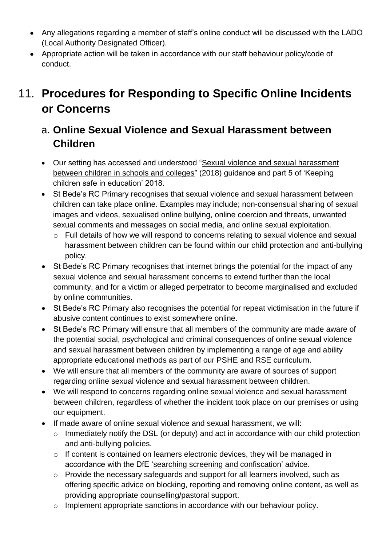- Any allegations regarding a member of staff's online conduct will be discussed with the LADO (Local Authority Designated Officer).
- Appropriate action will be taken in accordance with our staff behaviour policy/code of conduct.

# 11. **Procedures for Responding to Specific Online Incidents or Concerns**

### a. **Online Sexual Violence and Sexual Harassment between Children**

- Our setting has accessed and understood ["Sexual violence and sexual harassment](https://www.gov.uk/government/publications/sexual-violence-and-sexual-harassment-between-children-in-schools-and-colleges)  [between children in schools and colleges"](https://www.gov.uk/government/publications/sexual-violence-and-sexual-harassment-between-children-in-schools-and-colleges) (2018) guidance and part 5 of 'Keeping children safe in education' 2018.
- St Bede's RC Primary recognises that sexual violence and sexual harassment between children can take place online. Examples may include; non-consensual sharing of sexual images and videos, sexualised online bullying, online coercion and threats, unwanted sexual comments and messages on social media, and online sexual exploitation.
	- o Full details of how we will respond to concerns relating to sexual violence and sexual harassment between children can be found within our child protection and anti-bullying policy.
- St Bede's RC Primary recognises that internet brings the potential for the impact of any sexual violence and sexual harassment concerns to extend further than the local community, and for a victim or alleged perpetrator to become marginalised and excluded by online communities.
- St Bede's RC Primary also recognises the potential for repeat victimisation in the future if abusive content continues to exist somewhere online.
- St Bede's RC Primary will ensure that all members of the community are made aware of the potential social, psychological and criminal consequences of online sexual violence and sexual harassment between children by implementing a range of age and ability appropriate educational methods as part of our PSHE and RSE curriculum.
- We will ensure that all members of the community are aware of sources of support regarding online sexual violence and sexual harassment between children.
- We will respond to concerns regarding online sexual violence and sexual harassment between children, regardless of whether the incident took place on our premises or using our equipment.
- If made aware of online sexual violence and sexual harassment, we will:
	- o Immediately notify the DSL (or deputy) and act in accordance with our child protection and anti-bullying policies.
	- o If content is contained on learners electronic devices, they will be managed in accordance with the DfE ['searching screening](https://www.gov.uk/government/publications/searching-screening-and-confiscation) and confiscation' advice.
	- o Provide the necessary safeguards and support for all learners involved, such as offering specific advice on blocking, reporting and removing online content, as well as providing appropriate counselling/pastoral support.
	- o Implement appropriate sanctions in accordance with our behaviour policy.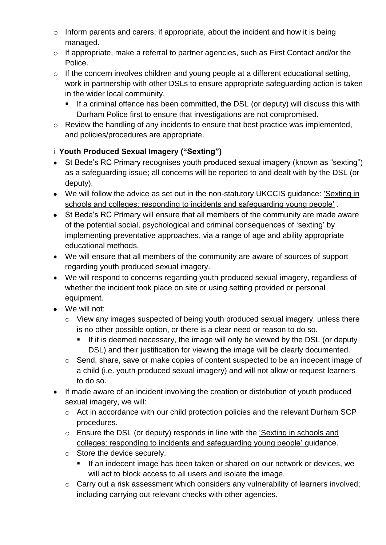- $\circ$  Inform parents and carers, if appropriate, about the incident and how it is being managed.
- o If appropriate, make a referral to partner agencies, such as First Contact and/or the Police.
- o If the concern involves children and young people at a different educational setting, work in partnership with other DSLs to ensure appropriate safeguarding action is taken in the wider local community.
	- If a criminal offence has been committed, the DSL (or deputy) will discuss this with Durham Police first to ensure that investigations are not compromised.
- o Review the handling of any incidents to ensure that best practice was implemented, and policies/procedures are appropriate.

#### i **Youth Produced Sexual Imagery ("Sexting")**

- St Bede's RC Primary recognises youth produced sexual imagery (known as "sexting") as a safeguarding issue; all concerns will be reported to and dealt with by the DSL (or deputy).
- We will follow the advice as set out in the non-statutory UKCCIS guidance: ['Sexting in](https://www.gov.uk/government/groups/uk-council-for-child-internet-safety-ukccis)  [schools and colleges: responding to incidents and safeguarding young people'](https://www.gov.uk/government/groups/uk-council-for-child-internet-safety-ukccis) .
- St Bede's RC Primary will ensure that all members of the community are made aware of the potential social, psychological and criminal consequences of 'sexting' by implementing preventative approaches, via a range of age and ability appropriate educational methods.
- We will ensure that all members of the community are aware of sources of support regarding youth produced sexual imagery.
- We will respond to concerns regarding youth produced sexual imagery, regardless of whether the incident took place on site or using setting provided or personal equipment.
- We will not:
	- o View any images suspected of being youth produced sexual imagery, unless there is no other possible option, or there is a clear need or reason to do so.
		- **.** If it is deemed necessary, the image will only be viewed by the DSL (or deputy DSL) and their justification for viewing the image will be clearly documented.
	- o Send, share, save or make copies of content suspected to be an indecent image of a child (i.e. youth produced sexual imagery) and will not allow or request learners to do so.
- If made aware of an incident involving the creation or distribution of youth produced sexual imagery, we will:
	- o Act in accordance with our child protection policies and the relevant Durham SCP procedures.
	- o Ensure the DSL (or deputy) responds in line with the ['Sexting in schools and](https://www.gov.uk/government/groups/uk-council-for-child-internet-safety-ukccis)  [colleges: responding to incidents and safeguarding young people'](https://www.gov.uk/government/groups/uk-council-for-child-internet-safety-ukccis) guidance.
	- o Store the device securely.
		- If an indecent image has been taken or shared on our network or devices, we will act to block access to all users and isolate the image.
	- o Carry out a risk assessment which considers any vulnerability of learners involved; including carrying out relevant checks with other agencies.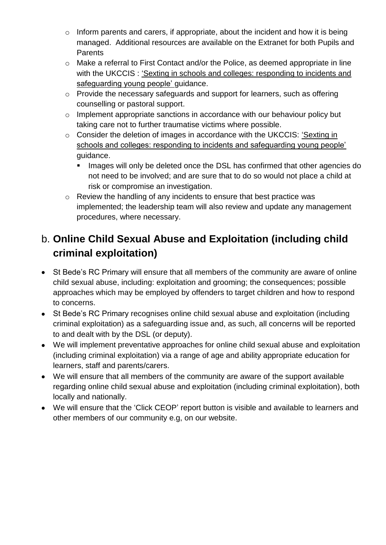- $\circ$  Inform parents and carers, if appropriate, about the incident and how it is being managed. Additional resources are available on the Extranet for both Pupils and Parents
- o Make a referral to First Contact and/or the Police, as deemed appropriate in line with the UKCCIS : ['Sexting in schools and colleges: responding to incidents and](https://www.gov.uk/government/groups/uk-council-for-child-internet-safety-ukccis)  [safeguarding young people'](https://www.gov.uk/government/groups/uk-council-for-child-internet-safety-ukccis) guidance.
- o Provide the necessary safeguards and support for learners, such as offering counselling or pastoral support.
- o Implement appropriate sanctions in accordance with our behaviour policy but taking care not to further traumatise victims where possible.
- o Consider the deletion of images in accordance with the UKCCIS: ['Sexting in](https://www.gov.uk/government/groups/uk-council-for-child-internet-safety-ukccis)  [schools and colleges: responding to incidents and safeguarding young people'](https://www.gov.uk/government/groups/uk-council-for-child-internet-safety-ukccis) guidance.
	- Images will only be deleted once the DSL has confirmed that other agencies do not need to be involved; and are sure that to do so would not place a child at risk or compromise an investigation.
- o Review the handling of any incidents to ensure that best practice was implemented; the leadership team will also review and update any management procedures, where necessary.

### b. **Online Child Sexual Abuse and Exploitation (including child criminal exploitation)**

- St Bede's RC Primary will ensure that all members of the community are aware of online child sexual abuse, including: exploitation and grooming; the consequences; possible approaches which may be employed by offenders to target children and how to respond to concerns.
- St Bede's RC Primary recognises online child sexual abuse and exploitation (including criminal exploitation) as a safeguarding issue and, as such, all concerns will be reported to and dealt with by the DSL (or deputy).
- We will implement preventative approaches for online child sexual abuse and exploitation (including criminal exploitation) via a range of age and ability appropriate education for learners, staff and parents/carers.
- We will ensure that all members of the community are aware of the support available regarding online child sexual abuse and exploitation (including criminal exploitation), both locally and nationally.
- We will ensure that the 'Click CEOP' report button is visible and available to learners and other members of our community e.g, on our website.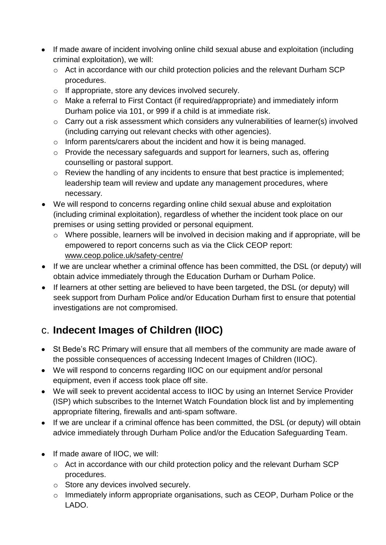- If made aware of incident involving online child sexual abuse and exploitation (including criminal exploitation), we will:
	- o Act in accordance with our child protection policies and the relevant Durham SCP procedures.
	- o If appropriate, store any devices involved securely.
	- o Make a referral to First Contact (if required/appropriate) and immediately inform Durham police via 101, or 999 if a child is at immediate risk.
	- o Carry out a risk assessment which considers any vulnerabilities of learner(s) involved (including carrying out relevant checks with other agencies).
	- o Inform parents/carers about the incident and how it is being managed.
	- o Provide the necessary safeguards and support for learners, such as, offering counselling or pastoral support.
	- o Review the handling of any incidents to ensure that best practice is implemented; leadership team will review and update any management procedures, where necessary.
- We will respond to concerns regarding online child sexual abuse and exploitation (including criminal exploitation), regardless of whether the incident took place on our premises or using setting provided or personal equipment.
	- o Where possible, learners will be involved in decision making and if appropriate, will be empowered to report concerns such as via the Click CEOP report: [www.ceop.police.uk/safety-centre/](http://www.ceop.police.uk/safety-centre/)
- If we are unclear whether a criminal offence has been committed, the DSL (or deputy) will obtain advice immediately through the Education Durham or Durham Police.
- If learners at other setting are believed to have been targeted, the DSL (or deputy) will seek support from Durham Police and/or Education Durham first to ensure that potential investigations are not compromised.

### c. **Indecent Images of Children (IIOC)**

- St Bede's RC Primary will ensure that all members of the community are made aware of the possible consequences of accessing Indecent Images of Children (IIOC).
- We will respond to concerns regarding IIOC on our equipment and/or personal equipment, even if access took place off site.
- We will seek to prevent accidental access to IIOC by using an Internet Service Provider (ISP) which subscribes to the Internet Watch Foundation block list and by implementing appropriate filtering, firewalls and anti-spam software.
- If we are unclear if a criminal offence has been committed, the DSL (or deputy) will obtain advice immediately through Durham Police and/or the Education Safeguarding Team.
- If made aware of IIOC, we will:
	- o Act in accordance with our child protection policy and the relevant Durham SCP procedures.
	- o Store any devices involved securely.
	- o Immediately inform appropriate organisations, such as CEOP, Durham Police or the LADO.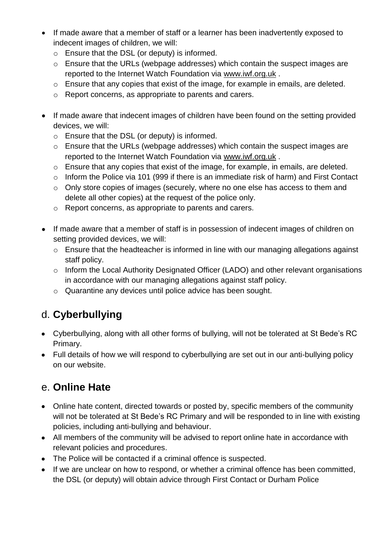- If made aware that a member of staff or a learner has been inadvertently exposed to indecent images of children, we will:
	- o Ensure that the DSL (or deputy) is informed.
	- o Ensure that the URLs (webpage addresses) which contain the suspect images are reported to the Internet Watch Foundation via [www.iwf.org.uk](https://www.iwf.org.uk/).
	- o Ensure that any copies that exist of the image, for example in emails, are deleted.
	- o Report concerns, as appropriate to parents and carers.
- If made aware that indecent images of children have been found on the setting provided devices, we will:
	- o Ensure that the DSL (or deputy) is informed.
	- o Ensure that the URLs (webpage addresses) which contain the suspect images are reported to the Internet Watch Foundation via [www.iwf.org.uk](https://www.iwf.org.uk/) .
	- o Ensure that any copies that exist of the image, for example, in emails, are deleted.
	- o Inform the Police via 101 (999 if there is an immediate risk of harm) and First Contact
	- o Only store copies of images (securely, where no one else has access to them and delete all other copies) at the request of the police only.
	- o Report concerns, as appropriate to parents and carers.
- If made aware that a member of staff is in possession of indecent images of children on setting provided devices, we will:
	- o Ensure that the headteacher is informed in line with our managing allegations against staff policy.
	- o Inform the Local Authority Designated Officer (LADO) and other relevant organisations in accordance with our managing allegations against staff policy.
	- o Quarantine any devices until police advice has been sought.

### d. **Cyberbullying**

- Cyberbullying, along with all other forms of bullying, will not be tolerated at St Bede's RC Primary.
- Full details of how we will respond to cyberbullying are set out in our anti-bullying policy on our website.

### e. **Online Hate**

- Online hate content, directed towards or posted by, specific members of the community will not be tolerated at St Bede's RC Primary and will be responded to in line with existing policies, including anti-bullying and behaviour.
- All members of the community will be advised to report online hate in accordance with relevant policies and procedures.
- The Police will be contacted if a criminal offence is suspected.
- If we are unclear on how to respond, or whether a criminal offence has been committed, the DSL (or deputy) will obtain advice through First Contact or Durham Police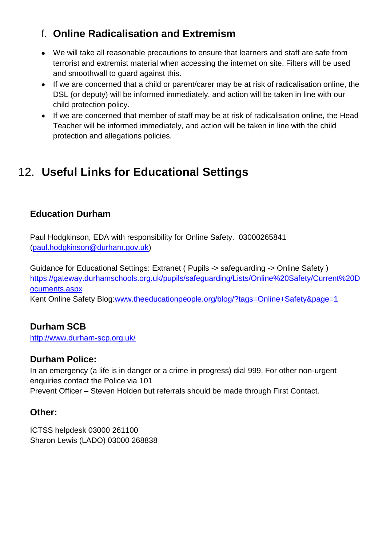### f. **Online Radicalisation and Extremism**

- We will take all reasonable precautions to ensure that learners and staff are safe from terrorist and extremist material when accessing the internet on site. Filters will be used and smoothwall to guard against this.
- If we are concerned that a child or parent/carer may be at risk of radicalisation online, the DSL (or deputy) will be informed immediately, and action will be taken in line with our child protection policy.
- If we are concerned that member of staff may be at risk of radicalisation online, the Head Teacher will be informed immediately, and action will be taken in line with the child protection and allegations policies.

# 12. **Useful Links for Educational Settings**

#### **Education Durham**

Paul Hodgkinson, EDA with responsibility for Online Safety. 03000265841 [\(paul.hodgkinson@durham.gov.uk\)](mailto:paul.hodgkinson@durham.gov.uk)

Guidance for Educational Settings: Extranet ( Pupils -> safeguarding -> Online Safety ) [https://gateway.durhamschools.org.uk/pupils/safeguarding/Lists/Online%20Safety/Current%20D](https://gateway.durhamschools.org.uk/pupils/safeguarding/Lists/Online%20Safety/Current%20Documents.aspx) [ocuments.aspx](https://gateway.durhamschools.org.uk/pupils/safeguarding/Lists/Online%20Safety/Current%20Documents.aspx)

Kent Online Safety Blog[:www.theeducationpeople.org/blog/?tags=Online+Safety&page=1](http://www.theeducationpeople.org/blog/?tags=Online+Safety&page=1)

#### **Durham SCB**

http://www.durham-scp.org.uk/

#### **Durham Police:**

In an emergency (a life is in danger or a crime in progress) dial 999. For other non-urgent enquiries contact the Police via 101 Prevent Officer – Steven Holden but referrals should be made through First Contact.

#### **Other:**

ICTSS helpdesk 03000 261100 Sharon Lewis (LADO) 03000 268838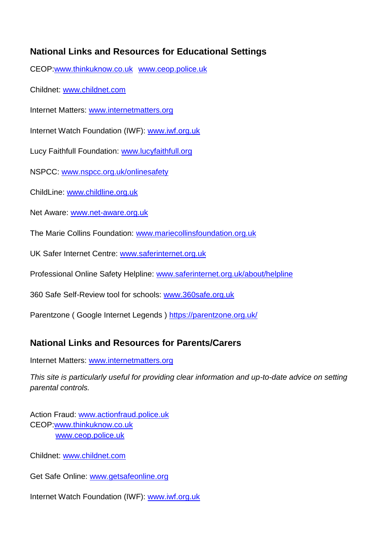#### **National Links and Resources for Educational Settings**

CEOP[:www.thinkuknow.co.uk](http://www.thinkuknow.co.uk/) [www.ceop.police.uk](http://www.ceop.police.uk/)

Childnet: [www.childnet.com](http://www.childnet.com/)

Internet Matters: [www.internetmatters.org](http://www.internetmatters.org/)

Internet Watch Foundation (IWF): [www.iwf.org.uk](http://www.iwf.org.uk/)

Lucy Faithfull Foundation: [www.lucyfaithfull.org](http://www.lucyfaithfull.org/)

NSPCC: [www.nspcc.org.uk/onlinesafety](http://www.nspcc.org.uk/onlinesafety)

ChildLine: [www.childline.org.uk](http://www.childline.org.uk/)

Net Aware: [www.net-aware.org.uk](http://www.net-aware.org.uk/)

The Marie Collins Foundation: [www.mariecollinsfoundation.org.uk](http://www.mariecollinsfoundation.org.uk/)

UK Safer Internet Centre: [www.saferinternet.org.uk](http://www.saferinternet.org.uk/)

Professional Online Safety Helpline: [www.saferinternet.org.uk/about/helpline](http://www.saferinternet.org.uk/about/helpline)

360 Safe Self-Review tool for schools: [www.360safe.org.uk](http://www.360safe.org.uk/)

Parentzone ( Google Internet Legends )<https://parentzone.org.uk/>

#### **National Links and Resources for Parents/Carers**

Internet Matters: [www.internetmatters.org](http://www.internetmatters.org/)

*This site is particularly useful for providing clear information and up-to-date advice on setting parental controls.*

Action Fraud: [www.actionfraud.police.uk](http://www.actionfraud.police.uk/) CEOP[:www.thinkuknow.co.uk](http://www.thinkuknow.co.uk/) [www.ceop.police.uk](http://www.ceop.police.uk/)

Childnet: [www.childnet.com](http://www.childnet.com/)

Get Safe Online: [www.getsafeonline.org](http://www.getsafeonline.org/)

Internet Watch Foundation (IWF): [www.iwf.org.uk](http://www.iwf.org.uk/)